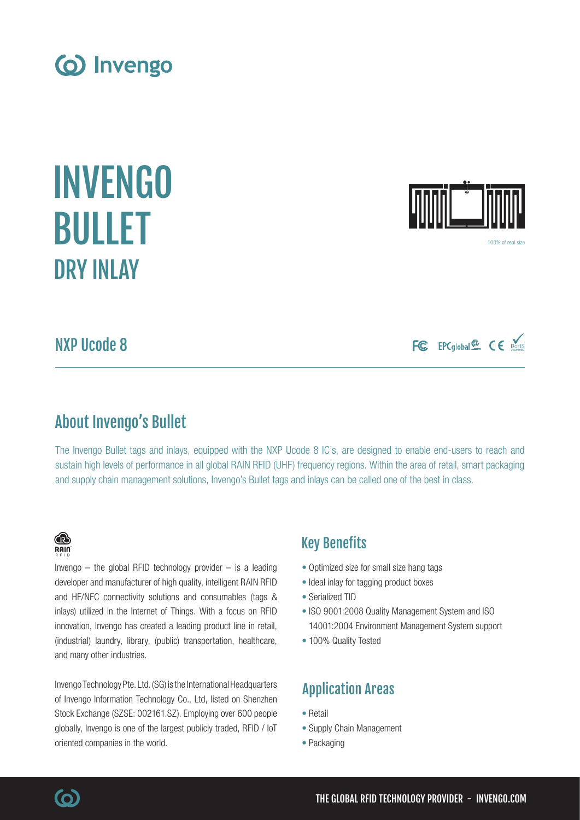

NXP Ucode 8

About Invengo's Bullet

The Invengo Bullet tags and inlays, equipped with the NXP Ucode 8 IC's, are designed to enable end-users to reach and

# Key Benefits

- Optimized size for small size hang tags
- Ideal inlay for tagging product boxes
- Serialized TID
- ISO 9001:2008 Quality Management System and ISO 14001:2004 Environment Management System support
- 100% Quality Tested

# Application Areas

- Retail
- Supply Chain Management
- Packaging

sustain high levels of performance in all global RAIN RFID (UHF) frequency regions. Within the area of retail, smart packaging and supply chain management solutions, Invengo's Bullet tags and inlays can be called one of the best in class.

# (o) Invengo





100% of real size





Invengo  $-$  the global RFID technology provider  $-$  is a leading developer and manufacturer of high quality, intelligent RAIN RFID and HF/NFC connectivity solutions and consumables (tags & inlays) utilized in the Internet of Things. With a focus on RFID innovation, Invengo has created a leading product line in retail, (industrial) laundry, library, (public) transportation, healthcare, and many other industries.

Invengo Technology Pte. Ltd. (SG) is the International Headquarters of Invengo Information Technology Co., Ltd, listed on Shenzhen Stock Exchange (SZSE: 002161.SZ). Employing over 600 people globally, Invengo is one of the largest publicly traded, RFID / IoT oriented companies in the world.